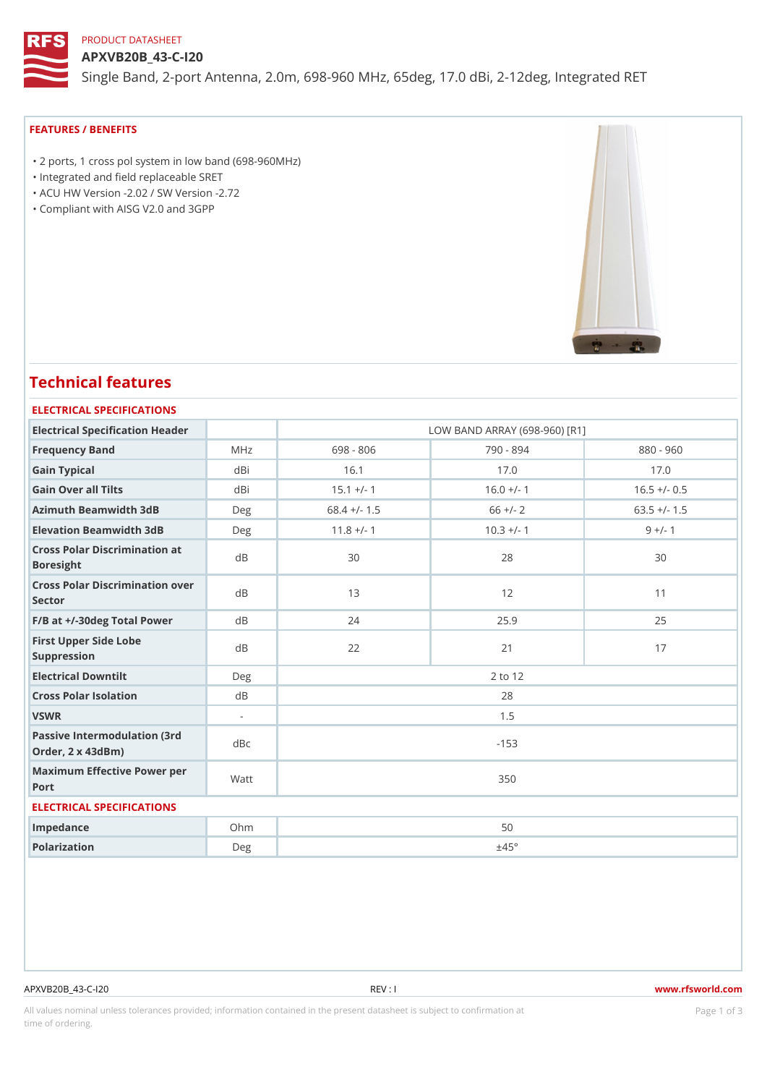## PRODUCT DATASHEET

APXVB20B\_43-C-I20 Single Band, 2-port Antenna, 2.0m, 698-960 MHz, 65deg, 17.0 dBi, 2-1

## FEATURES / BENEFITS

 "2 ports, 1 cross pol system in low band (698-960MHz) "Integrated and field replaceable SRET "ACU HW Version -2.02 / SW Version -2.72

"Compliant with AISG V2.0 and 3GPP

# Technical features

## ELECTRICAL SPECIFICATIONS

| Electrical Specification Header                       |        | LOW BAND ARRAY (698-960) [R1] |              |                |  |  |  |  |
|-------------------------------------------------------|--------|-------------------------------|--------------|----------------|--|--|--|--|
| Frequency Band                                        | MHz    | 698 - 806                     | 790 - 894    | $880 - 960$    |  |  |  |  |
| Gain Typical                                          | dBi    | 16.1                          | 17.0         | 17.0           |  |  |  |  |
| Gain Over all Tilts                                   | dBi    | $15.1 +/- 1$                  | $16.0 +/- 1$ | $16.5 +/- 0.5$ |  |  |  |  |
| Azimuth Beamwidth 3dB                                 | Deg    | $68.4$ +/- 1.5                | $66 +/- 2$   | $63.5$ +/- 1.5 |  |  |  |  |
| Elevation Beamwidth 3dB                               | Deg    | $11.8$ +/- 1                  | $10.3 +/- 1$ | $9 +/- 1$      |  |  |  |  |
| Cross Polar Discrimination at<br><b>Boresight</b>     |        | 30                            | 28           | 30             |  |  |  |  |
| Cross Polar Discrimination over<br>Sector             |        | 13                            | 12           | 11             |  |  |  |  |
| $F/B$ at $+/-30$ deg Total Powerd B                   |        | 24                            | 25.9         | 25             |  |  |  |  |
| First Upper Side Lobe<br>Suppression                  | d B    | 22                            | 21           | 17             |  |  |  |  |
| Electrical Downtilt                                   | Deg    | 2 to 12                       |              |                |  |  |  |  |
| Cross Polar Isolation                                 | d B    | 28                            |              |                |  |  |  |  |
| VSWR                                                  | $\sim$ | 1.5                           |              |                |  |  |  |  |
| Passive Intermodulation (3rd dBc<br>Order, 2 x 43dBm) |        | $-153$                        |              |                |  |  |  |  |
| Maximum Effective Power per<br>Port                   |        | 350                           |              |                |  |  |  |  |
| ELECTRICAL SPECIFICATIONS                             |        |                               |              |                |  |  |  |  |
| Impedance                                             | $Oh$ m | 50                            |              |                |  |  |  |  |
| Polarization                                          | Deg    | ±45°                          |              |                |  |  |  |  |

All values nominal unless tolerances provided; information contained in the present datasheet is subject to PcaogneionIm atio time of ordering.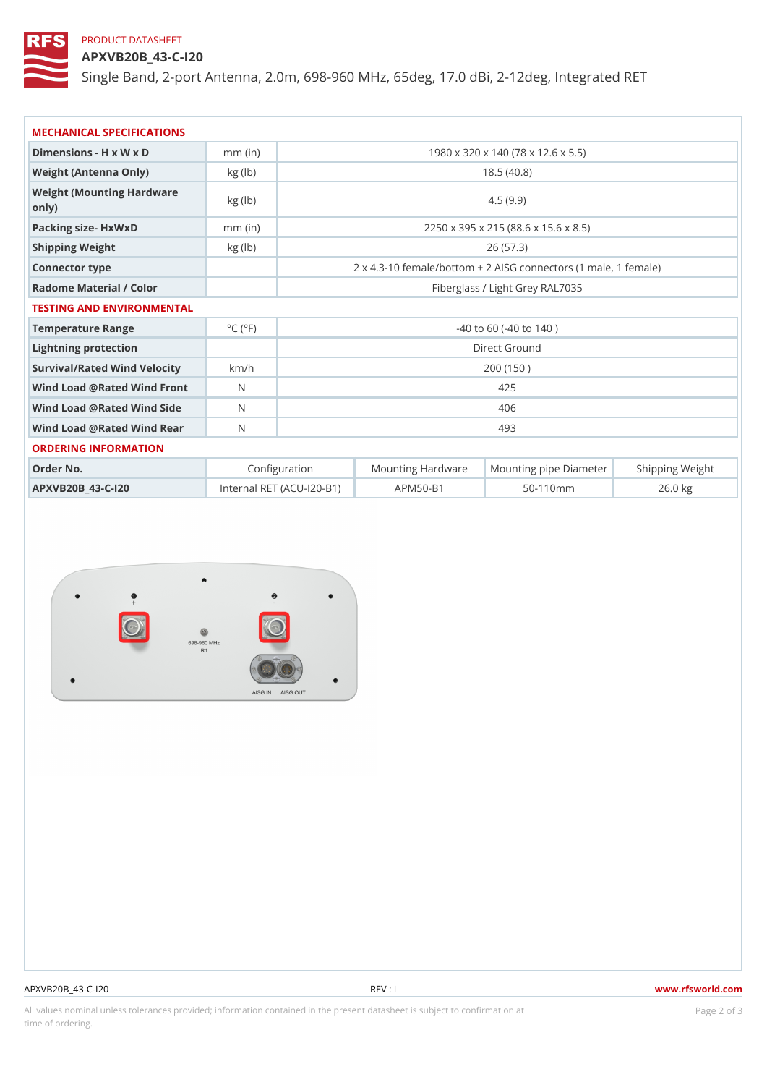## PRODUCT DATASHEET

APXVB20B\_43-C-I20

Single Band, 2-port Antenna, 2.0m, 698-960 MHz, 65deg, 17.0 dBi, 2-1

| MECHANICAL SPECIFICATIONS                  |                             |                                                                |                                    |                                                      |           |  |  |  |  |
|--------------------------------------------|-----------------------------|----------------------------------------------------------------|------------------------------------|------------------------------------------------------|-----------|--|--|--|--|
| Dimensions - H x W x D                     | $mm$ (in)                   | 1980 x 320 x 140 (78 x 12.6 x 5.5)                             |                                    |                                                      |           |  |  |  |  |
| Weight (Antenna Only)                      | $kg$ ( $ b $ )              | 18.5(40.8)                                                     |                                    |                                                      |           |  |  |  |  |
| Weight (Mounting Hardware kg (lb)<br>only) |                             | 4.5(9.9)                                                       |                                    |                                                      |           |  |  |  |  |
| Packing size- HxWxD                        | $mm$ (in)                   | 2250 x 395 x 215 (88.6 x 15.6 x 8.5)                           |                                    |                                                      |           |  |  |  |  |
| Shipping Weight                            | $kg$ ( $ b $ )              | 26(57.3)                                                       |                                    |                                                      |           |  |  |  |  |
| Connector type                             |                             | $2 \times 4.3 - 10$ female/bottom + 2 AISG connectors (1 ma e, |                                    |                                                      |           |  |  |  |  |
| Radome Material / Color                    |                             | Fiberglass / Light Grey RAL7035                                |                                    |                                                      |           |  |  |  |  |
| TESTING AND ENVIRONMENTAL                  |                             |                                                                |                                    |                                                      |           |  |  |  |  |
| Temperature Range                          | $^{\circ}$ C ( $^{\circ}$ F | $-40$ to 60 ( $-40$ to 140)                                    |                                    |                                                      |           |  |  |  |  |
| Lightning protection                       |                             | Direct Ground                                                  |                                    |                                                      |           |  |  |  |  |
| Survival/Rated Wind Velocikm/h             |                             | 200(150)                                                       |                                    |                                                      |           |  |  |  |  |
| Wind Load @ Rated Wind Front               |                             | 425                                                            |                                    |                                                      |           |  |  |  |  |
| Wind Load @ Rated Wind Sidb                |                             | 406                                                            |                                    |                                                      |           |  |  |  |  |
| Wind Load @ Rated Wind ReaN                |                             | 493                                                            |                                    |                                                      |           |  |  |  |  |
| ORDERING INFORMATION                       |                             |                                                                |                                    |                                                      |           |  |  |  |  |
| Order No.                                  |                             | Configuration                                                  |                                    | Mounting HardwaMeunting pipe DiameStheirpping Weight |           |  |  |  |  |
| APXVB20B_43-C-120                          |                             |                                                                | Internal RET (ACU-120-BA1P) M50-B1 | $50 - 110$ m m                                       | $26.0$ kg |  |  |  |  |

| APXVB20B 43-C-120 |  |
|-------------------|--|
|-------------------|--|